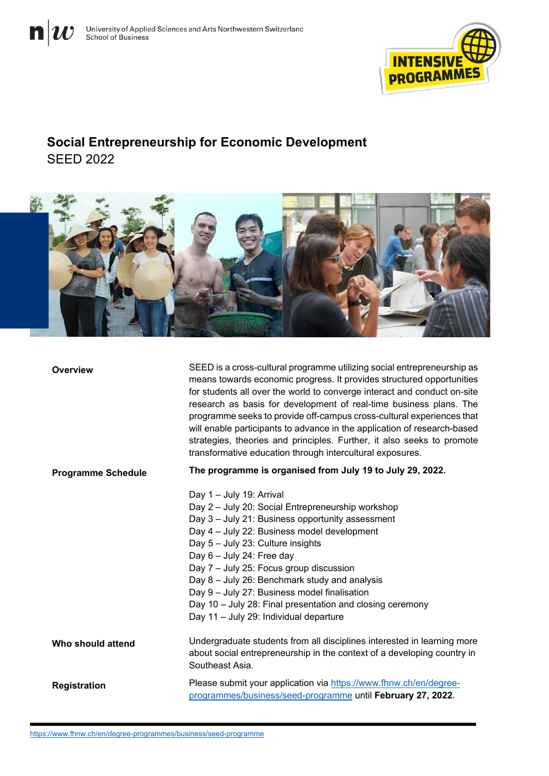



## **Social Entrepreneurship for Economic Development** SEED 2022



| Overview                  | SEED is a cross-cultural programme utilizing social entrepreneurship as<br>means towards economic progress. It provides structured opportunities<br>for students all over the world to converge interact and conduct on-site<br>research as basis for development of real-time business plans. The<br>programme seeks to provide off-campus cross-cultural experiences that<br>will enable participants to advance in the application of research-based<br>strategies, theories and principles. Further, it also seeks to promote<br>transformative education through intercultural exposures. |
|---------------------------|------------------------------------------------------------------------------------------------------------------------------------------------------------------------------------------------------------------------------------------------------------------------------------------------------------------------------------------------------------------------------------------------------------------------------------------------------------------------------------------------------------------------------------------------------------------------------------------------|
| <b>Programme Schedule</b> | The programme is organised from July 19 to July 29, 2022.                                                                                                                                                                                                                                                                                                                                                                                                                                                                                                                                      |
|                           | Day 1 - July 19: Arrival<br>Day 2 - July 20: Social Entrepreneurship workshop<br>Day 3 - July 21: Business opportunity assessment<br>Day 4 - July 22: Business model development<br>Day 5 - July 23: Culture insights<br>Day 6 - July 24: Free day<br>Day 7 - July 25: Focus group discussion<br>Day 8 - July 26: Benchmark study and analysis<br>Day 9 - July 27: Business model finalisation<br>Day 10 - July 28: Final presentation and closing ceremony<br>Day 11 - July 29: Individual departure                                                                                          |
| Who should attend         | Undergraduate students from all disciplines interested in learning more<br>about social entrepreneurship in the context of a developing country in<br>Southeast Asia.                                                                                                                                                                                                                                                                                                                                                                                                                          |
| <b>Registration</b>       | Please submit your application via https://www.fhnw.ch/en/degree-<br>programmes/business/seed-programme until February 27, 2022.                                                                                                                                                                                                                                                                                                                                                                                                                                                               |